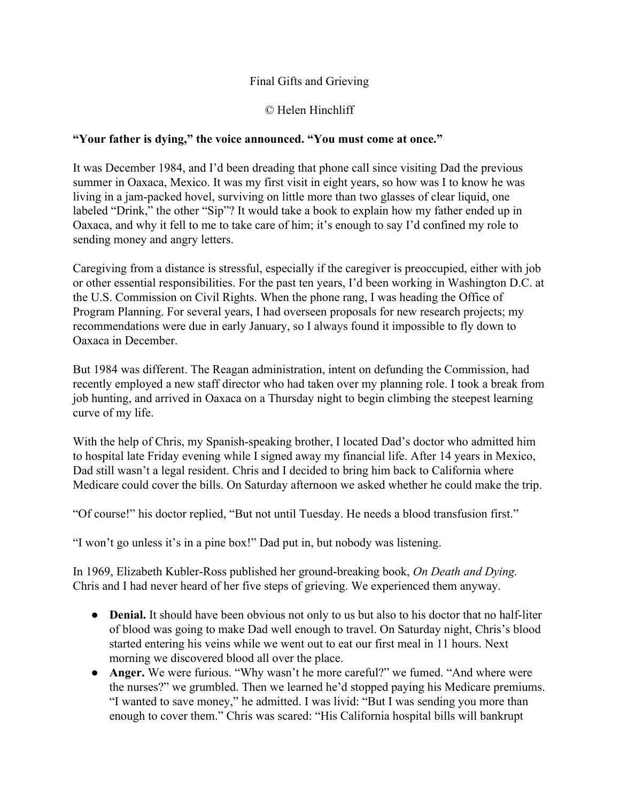## Final Gifts and Grieving

## © Helen Hinchliff

## **"Your father is dying," the voice announced. "You must come at once."**

It was December 1984, and I'd been dreading that phone call since visiting Dad the previous summer in Oaxaca, Mexico. It was my first visit in eight years, so how was I to know he was living in a jam-packed hovel, surviving on little more than two glasses of clear liquid, one labeled "Drink," the other "Sip"? It would take a book to explain how my father ended up in Oaxaca, and why it fell to me to take care of him; it's enough to say I'd confined my role to sending money and angry letters.

Caregiving from a distance is stressful, especially if the caregiver is preoccupied, either with job or other essential responsibilities. For the past ten years, I'd been working in Washington D.C. at the U.S. Commission on Civil Rights. When the phone rang, I was heading the Office of Program Planning. For several years, I had overseen proposals for new research projects; my recommendations were due in early January, so I always found it impossible to fly down to Oaxaca in December.

But 1984 was different. The Reagan administration, intent on defunding the Commission, had recently employed a new staff director who had taken over my planning role. I took a break from job hunting, and arrived in Oaxaca on a Thursday night to begin climbing the steepest learning curve of my life.

With the help of Chris, my Spanish-speaking brother, I located Dad's doctor who admitted him to hospital late Friday evening while I signed away my financial life. After 14 years in Mexico, Dad still wasn't a legal resident. Chris and I decided to bring him back to California where Medicare could cover the bills. On Saturday afternoon we asked whether he could make the trip.

"Of course!" his doctor replied, "But not until Tuesday. He needs a blood transfusion first."

"I won't go unless it's in a pine box!" Dad put in, but nobody was listening.

In 1969, Elizabeth Kubler-Ross published her ground-breaking book, *On Death and Dying*. Chris and I had never heard of her five steps of grieving. We experienced them anyway.

- **Denial.** It should have been obvious not only to us but also to his doctor that no half-liter of blood was going to make Dad well enough to travel. On Saturday night, Chris's blood started entering his veins while we went out to eat our first meal in 11 hours. Next morning we discovered blood all over the place.
- **Anger.**We were furious. "Why wasn't he more careful?" we fumed. "And where were the nurses?" we grumbled. Then we learned he'd stopped paying his Medicare premiums. "I wanted to save money," he admitted. I was livid: "But I was sending you more than enough to cover them." Chris was scared: "His California hospital bills will bankrupt